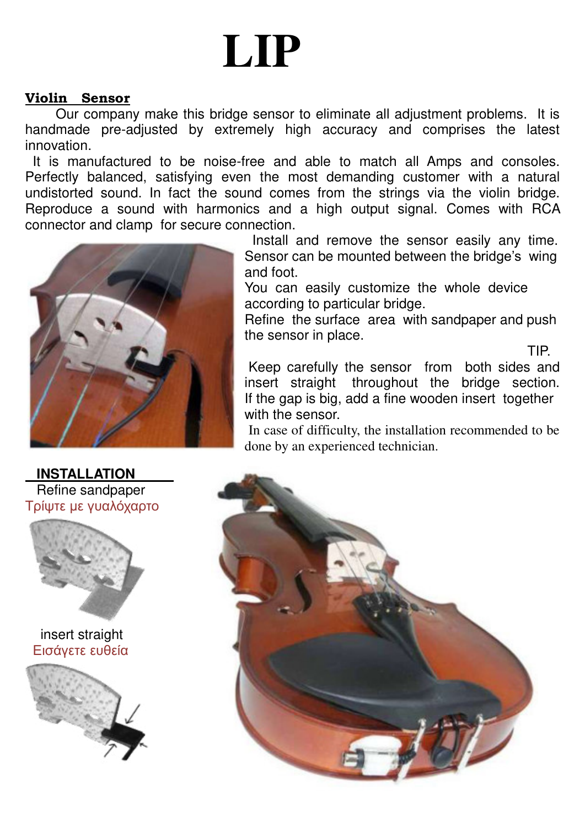## **LIP**

## **Violin Sensor**

Our company make this bridge sensor to eliminate all adjustment problems. It is handmade pre-adjusted by extremely high accuracy and comprises the latest innovation.

 It is manufactured to be noise-free and able to match all Amps and consoles. Perfectly balanced, satisfying even the most demanding customer with a natural undistorted sound. In fact the sound comes from the strings via the violin bridge. Reproduce a sound with harmonics and a high output signal. Comes with RCA connector and clamp for secure connection.



 Install and remove the sensor easily any time. Sensor can be mounted between the bridge's wing and foot.

You can easily customize the whole device according to particular bridge.

Refine the surface area with sandpaper and push the sensor in place.

**TIP.** The contract of the contract of the contract of the contract of the contract of the contract of the contract of the contract of the contract of the contract of the contract of the contract of the contract of the con Keep carefully the sensor from both sides and insert straight throughout the bridge section. If the gap is big, add a fine wooden insert together with the sensor.

In case of difficulty, the installation recommended to be done by an experienced technician.



 **INSTALLATION**  Refine sandpaper Τρίψτε με γυαλόχαρτο



 insert straight **Εισάνετε ευθεία**